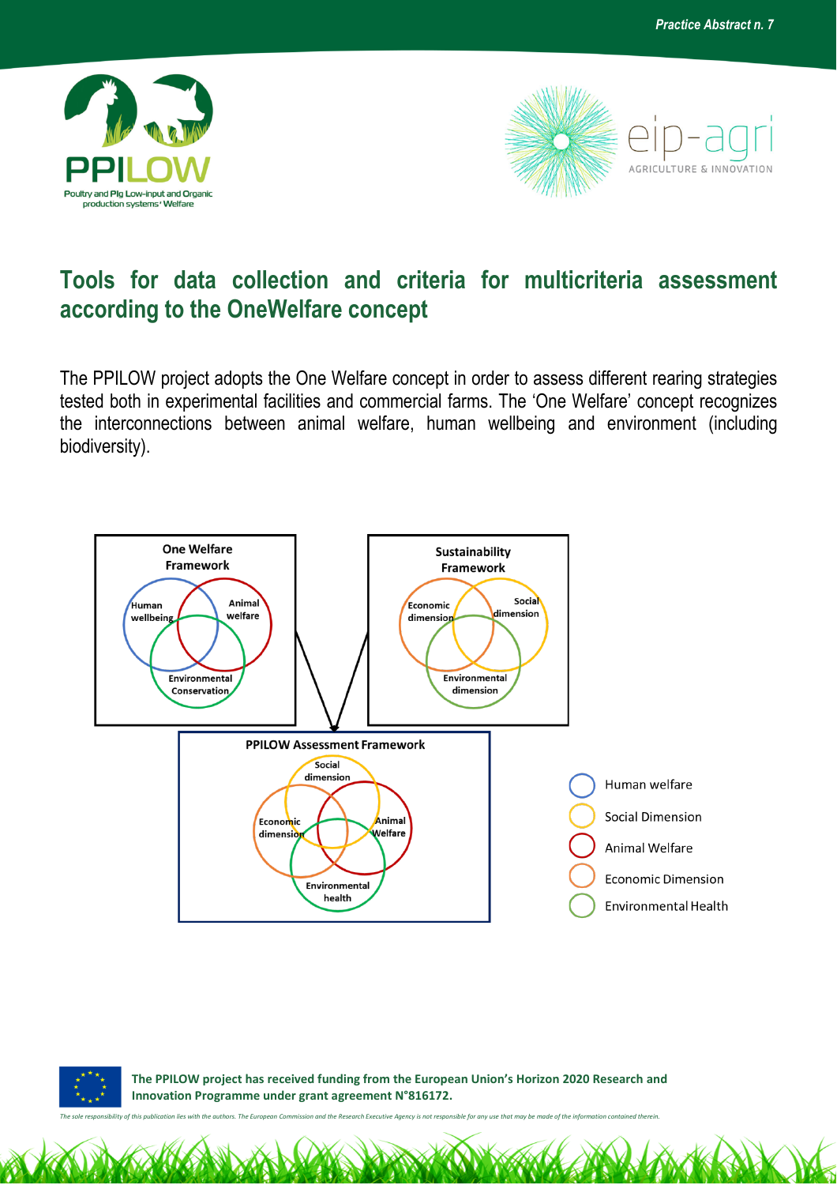



## **Tools for data collection and criteria for multicriteria assessment according to the OneWelfare concept**

The PPILOW project adopts the One Welfare concept in order to assess different rearing strategies tested both in experimental facilities and commercial farms. The 'One Welfare' concept recognizes the interconnections between animal welfare, human wellbeing and environment (including biodiversity).





 **The PPILOW project has received funding from the European Union's Horizon 2020 Research and Innovation Programme under grant agreement N°816172.**

*The sole responsibility of this publication lies with the authors. The European Commission and the Research Executive Agency is not responsible for any use that may be made of the information contained therein.*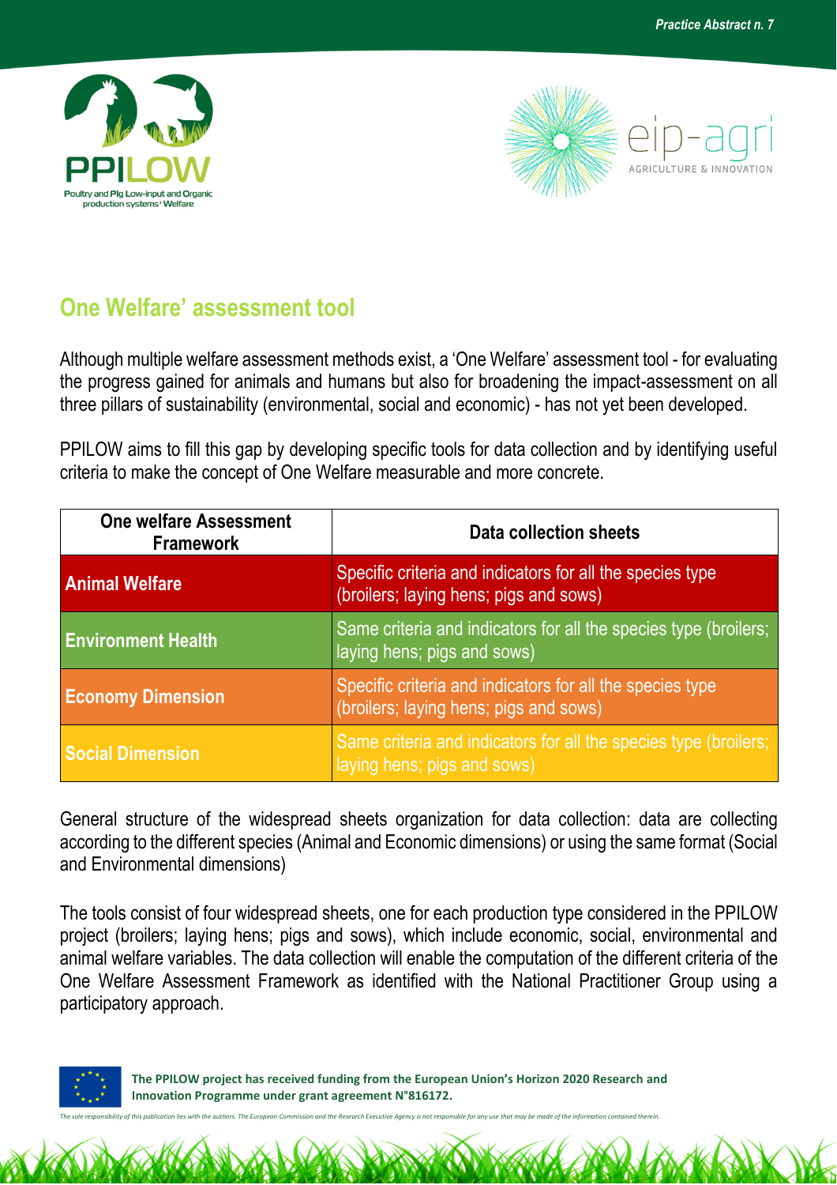



## **One Welfare' assessment tool**

Although multiple welfare assessment methods exist, a 'One Welfare' assessment tool - for evaluating the progress gained for animals and humans but also for broadening the impact-assessment on all three pillars of sustainability (environmental, social and economic) - has not yet been developed.

PPILOW aims to fill this gap by developing specific tools for data collection and by identifying useful criteria to make the concept of One Welfare measurable and more concrete.

| <b>One welfare Assessment</b><br><b>Framework</b> | Data collection sheets                                                                              |
|---------------------------------------------------|-----------------------------------------------------------------------------------------------------|
| <b>Animal Welfare</b>                             | Specific criteria and indicators for all the species type<br>(broilers; laying hens; pigs and sows) |
| <b>Environment Health</b>                         | Same criteria and indicators for all the species type (broilers;<br>laying hens; pigs and sows)     |
| <b>Economy Dimension</b>                          | Specific criteria and indicators for all the species type<br>(broilers; laying hens; pigs and sows) |
| <b>Social Dimension</b>                           | Same criteria and indicators for all the species type (broilers;<br>laying hens; pigs and sows)     |

General structure of the widespread sheets organization for data collection: data are collecting according to the different species (Animal and Economic dimensions) or using the same format (Social and Environmental dimensions)

The tools consist of four widespread sheets, one for each production type considered in the PPILOW project (broilers; laying hens; pigs and sows), which include economic, social, environmental and animal welfare variables. The data collection will enable the computation of the different criteria of the One Welfare Assessment Framework as identified with the National Practitioner Group using a participatory approach.



 **The PPILOW project has received funding from the European Union's Horizon 2020 Research and Innovation Programme under grant agreement N°816172.**

*The sole responsibility of this publication lies with the authors. The European Commission and the Research Executive Agency is not responsible for any use that may be made of the information contained therein.*